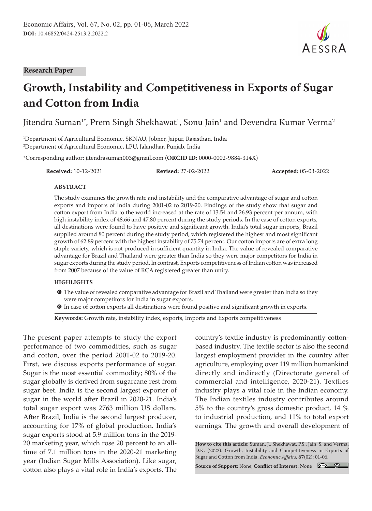**Research Paper**

# **Growth, Instability and Competitiveness in Exports of Sugar and Cotton from India**

Jitendra Suman $^{\text{\tiny{1}}}$ , Prem Singh Shekhawat $^{\text{\tiny{1}}}$ , Sonu Jain $^{\text{\tiny{1}}}$  and Devendra Kumar Verma $^{\text{\tiny{2}}}$ 

1 Department of Agricultural Economic, SKNAU, Jobner, Jaipur, Rajasthan, India 2 Department of Agricultural Economic, LPU, Jalandhar, Punjab, India

\*Corresponding author: jitendrasuman003@gmail.com (**ORCID ID:** 0000-0002-9884-314X)

**Received:** 10-12-2021 **Revised:** 27-02-2022 **Accepted:** 05-03-2022

#### **ABSTRACT**

The study examines the growth rate and instability and the comparative advantage of sugar and cotton exports and imports of India during 2001-02 to 2019-20. Findings of the study show that sugar and cotton export from India to the world increased at the rate of 13.54 and 26.93 percent per annum, with high instability index of 48.66 and 47.80 percent during the study periods. In the case of cotton exports, all destinations were found to have positive and significant growth. India's total sugar imports, Brazil supplied around 80 percent during the study period, which registered the highest and most significant growth of 62.89 percent with the highest instability of 75.74 percent. Our cotton imports are of extra long staple variety, which is not produced in sufficient quantity in India. The value of revealed comparative advantage for Brazil and Thailand were greater than India so they were major competitors for India in sugar exports during the study period. In contrast, Exports competitiveness of Indian cotton was increased from 2007 because of the value of RCA registered greater than unity.

#### **HIGHLIGHTS**

- **O** The value of revealed comparative advantage for Brazil and Thailand were greater than India so they were major competitors for India in sugar exports.
- $\bullet$  In case of cotton exports all destinations were found positive and significant growth in exports.

**Keywords:** Growth rate, instability index, exports, Imports and Exports competitiveness

The present paper attempts to study the export performance of two commodities, such as sugar and cotton, over the period 2001-02 to 2019-20. First, we discuss exports performance of sugar. Sugar is the most essential commodity; 80% of the sugar globally is derived from sugarcane rest from sugar beet. India is the second largest exporter of sugar in the world after Brazil in 2020-21. India's total sugar export was 2763 million US dollars. After Brazil, India is the second largest producer, accounting for 17% of global production. India's sugar exports stood at 5.9 million tons in the 2019- 20 marketing year, which rose 20 percent to an alltime of 7.1 million tons in the 2020-21 marketing year (Indian Sugar Mills Association). Like sugar, cotton also plays a vital role in India's exports. The

country's textile industry is predominantly cottonbased industry. The textile sector is also the second largest employment provider in the country after agriculture, employing over 119 million humankind directly and indirectly (Directorate general of commercial and intelligence, 2020-21). Textiles industry plays a vital role in the Indian economy. The Indian textiles industry contributes around 5% to the country's gross domestic product, 14 % to industrial production, and 11% to total export earnings. The growth and overall development of

**How to cite this article:** Suman, J., Shekhawat, P.S., Jain, S. and Verma, D.K. (2022). Growth, Instability and Competitiveness in Exports of Sugar and Cotton from India. *Economic Affairs,* **67**(02): 01-06.

**Source of Support:** None; **Conflict of Interest:** None

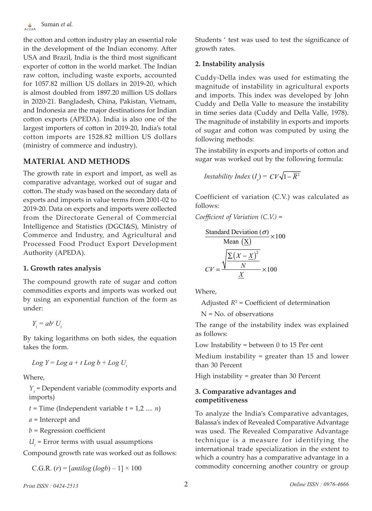the cotton and cotton industry play an essential role in the development of the Indian economy. After USA and Brazil, India is the third most significant exporter of cotton in the world market. The Indian raw cotton, including waste exports, accounted for 1057.82 million US dollars in 2019-20, which is almost doubled from 1897.20 million US dollars in 2020-21. Bangladesh, China, Pakistan, Vietnam, and Indonesia are the major destinations for Indian cotton exports (APEDA). India is also one of the largest importers of cotton in 2019-20, India's total cotton imports are 1528.82 million US dollars (ministry of commerce and industry).

# **MATERIAL AND METHODS**

The growth rate in export and import, as well as comparative advantage, worked out of sugar and cotton. The study was based on the secondary data of exports and imports in value terms from 2001-02 to 2019-20. Data on exports and imports were collected from the Directorate General of Commercial Intelligence and Statistics (DGCI&S), Ministry of Commerce and Industry, and Agricultural and Processed Food Product Export Development Authority (APEDA).

# **1. Growth rates analysis**

The compound growth rate of sugar and cotton commodities exports and imports was worked out by using an exponential function of the form as under:

$$
Y_t = ab^t U_t
$$

By taking logarithms on both sides, the equation takes the form.

 $Log Y = Log a + t Log b + Log U$ 

Where,

*Y*<sub>t</sub> = Dependent variable (commodity exports and imports)

 $t =$ Time (Independent variable  $t = 1,2, ..., n$ )

*a* = Intercept and

*b* = Regression coefficient

 $U_t$  = Error terms with usual assumptions

Compound growth rate was worked out as follows:

C.G.R.  $(r) = [antilog (log b) - 1] \times 100$ 

Students ' test was used to test the significance of growth rates.

# **2. Instability analysis**

Cuddy-Della index was used for estimating the magnitude of instability in agricultural exports and imports. This index was developed by John Cuddy and Della Valle to measure the instability in time series data (Cuddy and Della Valle, 1978). The magnitude of instability in exports and imports of sugar and cotton was computed by using the following methods:

The instability in exports and imports of cotton and sugar was worked out by the following formula:

$$
Instability Index (I_x) = CV\sqrt{1 - \overline{R}^2}
$$

Coefficient of variation (C.V.) was calculated as follows:

*Coefficient of Variation (C.V.)* =

Standard Deviation (
$$
\sigma
$$
)  
\nMean ( $\underline{X}$ )  
\n
$$
CV = \frac{\sqrt{\frac{\sum (X - \underline{X})^2}{N}}}{\underline{X}} \times 100
$$

Where,

Adjusted  $R^2$  = Coefficient of determination

N = No. of observations

The range of the instability index was explained as follows:

Low Instability = between 0 to 15 Per cent

Medium instability = greater than 15 and lower than 30 Percent

High instability = greater than 30 Percent

## **3. Comparative advantages and competitiveness**

To analyze the India's Comparative advantages, Balassa's index of Revealed Comparative Advantage was used. The Revealed Comparative Advantage technique is a measure for identifying the international trade specialization in the extent to which a country has a comparative advantage in a commodity concerning another country or group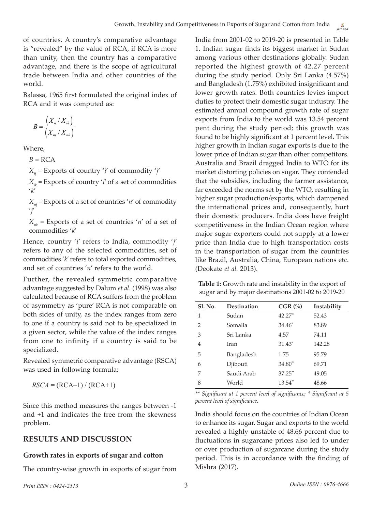of countries. A country's comparative advantage is "revealed" by the value of RCA, if RCA is more than unity, then the country has a comparative advantage, and there is the scope of agricultural trade between India and other countries of the world.

Balassa, 1965 first formulated the original index of RCA and it was computed as:

$$
B = \frac{\left(X_{ij} / X_{ik}\right)}{\left(X_{nj} / X_{nk}\right)}
$$

Where,

 $B = RCA$ 

*Xij* = Exports of country '*i*' of commodity '*j*'

 $X_{ik}$  = Exports of country '*i*' of a set of commodities '*k*'

*Xnj* = Exports of a set of countries '*n*' of commodity '*j*'

 $X_{nk}$  = Exports of a set of countries '*n*' of a set of commodities '*k*'

Hence, country '*i*' refers to India, commodity '*j*' refers to any of the selected commodities, set of commodities '*k*' refers to total exported commodities, and set of countries '*n*' refers to the world.

Further, the revealed symmetric comparative advantage suggested by Dalum *et al*. (1998) was also calculated because of RCA suffers from the problem of asymmetry as 'pure' RCA is not comparable on both sides of unity, as the index ranges from zero to one if a country is said not to be specialized in a given sector, while the value of the index ranges from one to infinity if a country is said to be specialized.

Revealed symmetric comparative advantage (RSCA) was used in following formula:

$$
RSCA = (RCA-1) / (RCA+1)
$$

Since this method measures the ranges between -1 and +1 and indicates the free from the skewness problem.

# **RESULTS AND DISCUSSION**

#### **Growth rates in exports of sugar and cotton**

The country-wise growth in exports of sugar from

India from 2001-02 to 2019-20 is presented in Table 1. Indian sugar finds its biggest market in Sudan among various other destinations globally. Sudan reported the highest growth of 42.27 percent during the study period. Only Sri Lanka (4.57%) and Bangladesh (1.75%) exhibited insignificant and lower growth rates. Both countries levies import duties to protect their domestic sugar industry. The estimated annual compound growth rate of sugar exports from India to the world was 13.54 percent pent during the study period; this growth was found to be highly significant at 1 percent level. This higher growth in Indian sugar exports is due to the lower price of Indian sugar than other competitors. Australia and Brazil dragged India to WTO for its market distorting policies on sugar. They contended that the subsidies, including the farmer assistance, far exceeded the norms set by the WTO, resulting in higher sugar production/exports, which dampened the international prices and, consequently, hurt their domestic producers. India does have freight competitiveness in the Indian Ocean region where major sugar exporters could not supply at a lower price than India due to high transportation costs in the transportation of sugar from the countries like Brazil, Australia, China, European nations etc. (Deokate *et al.* 2013).

**Table 1:** Growth rate and instability in the export of sugar and by major destinations 2001-02 to 2019-20

| <b>Sl. No.</b> | Destination | $CGR$ $\left(\% \right)$ | Instability |
|----------------|-------------|--------------------------|-------------|
| 1              | Sudan       | 42.27**                  | 52.43       |
| $\mathcal{P}$  | Somalia     | $34.46^*$                | 83.89       |
| 3              | Sri Lanka   | 4.57                     | 74.11       |
| 4              | Iran        | $31.43*$                 | 142.28      |
| 5              | Bangladesh  | 1.75                     | 95.79       |
| 6              | Djibouti    | $34.80**$                | 69.71       |
| 7              | Saudi Arab  | $37.25$ **               | 49.05       |
| 8              | World       | $13.54$ **               | 48.66       |

*\*\* Significant at 1 percent level of significance; \* Significant at 5 percent level of significance.*

India should focus on the countries of Indian Ocean to enhance its sugar. Sugar and exports to the world revealed a highly unstable of 48.66 percent due to fluctuations in sugarcane prices also led to under or over production of sugarcane during the study period. This is in accordance with the finding of Mishra (2017).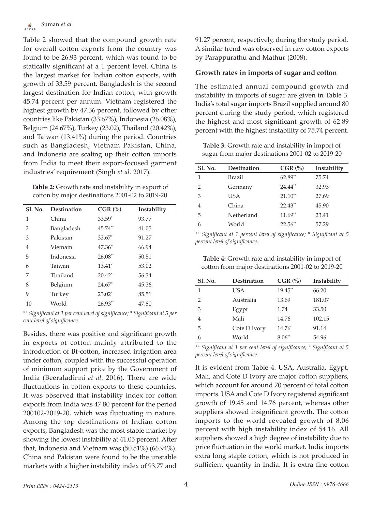Table 2 showed that the compound growth rate for overall cotton exports from the country was found to be 26.93 percent, which was found to be statically significant at a 1 percent level. China is the largest market for Indian cotton exports, with growth of 33.59 percent. Bangladesh is the second largest destination for Indian cotton, with growth 45.74 percent per annum. Vietnam registered the highest growth by 47.36 percent, followed by other countries like Pakistan (33.67%), Indonesia (26.08%), Belgium (24.67%), Turkey (23.02), Thailand (20.42%), and Taiwan (13.41%) during the period. Countries such as Bangladesh, Vietnam Pakistan, China, and Indonesia are scaling up their cotton imports from India to meet their export-focused garment industries' requirement (Singh *et al.* 2017).

**Table 2:** Growth rate and instability in export of cotton by major destinations 2001-02 to 2019-20

| <b>Sl. No.</b> | <b>Destination</b> | $CGR$ $\left(\% \right)$ | Instability |
|----------------|--------------------|--------------------------|-------------|
| 1              | China              | $33.59^*$                | 93.77       |
| $\mathcal{P}$  | Bangladesh         | 45.74**                  | 41.05       |
| 3              | Pakistan           | $33.67^*$                | 91.27       |
| 4              | Vietnam            | 47.36**                  | 66.94       |
| 5              | Indonesia          | $26.08**$                | 50.51       |
| 6              | Taiwan             | 13.41*                   | 53.02       |
| 7              | Thailand           | $20.42^*$                | 56.34       |
| 8              | Belgium            | $24.67**$                | 45.36       |
| 9              | Turkey             | $23.02^*$                | 85.51       |
| 10             | World              | $26.93**$                | 47.80       |

*\*\* Significant at 1 per cent level of significance; \* Significant at 5 per cent level of significance.*

Besides, there was positive and significant growth in exports of cotton mainly attributed to the introduction of Bt-cotton, increased irrigation area under cotton, coupled with the successful operation of minimum support price by the Government of India (Beeraladinni *et al.* 2016). There are wide fluctuations in cotton exports to these countries. It was observed that instability index for cotton exports from India was 47.80 percent for the period 200102-2019-20, which was fluctuating in nature. Among the top destinations of Indian cotton exports, Bangladesh was the most stable market by showing the lowest instability at 41.05 percent. After that, Indonesia and Vietnam was (50.51%) (66.94%). China and Pakistan were found to be the unstable markets with a higher instability index of 93.77 and

91.27 percent, respectively, during the study period. A similar trend was observed in raw cotton exports by Parappurathu and Mathur (2008).

### **Growth rates in imports of sugar and cotton**

The estimated annual compound growth and instability in imports of sugar are given in Table 3. India's total sugar imports Brazil supplied around 80 percent during the study period, which registered the highest and most significant growth of 62.89 percent with the highest instability of 75.74 percent.

**Table 3:** Growth rate and instability in import of sugar from major destinations 2001-02 to 2019-20

| <b>Sl. No.</b> | <b>Destination</b> | $CGR$ $\left(\frac{9}{6}\right)$ | Instability |
|----------------|--------------------|----------------------------------|-------------|
| 1              | Brazil             | 62.89**                          | 75.74       |
| $\mathcal{P}$  | Germany            | 24.44**                          | 32.93       |
| 3              | USA                | $21.10**$                        | 27.69       |
| 4              | China              | $22.43$ <sup>**</sup>            | 45.90       |
| 5              | Netherland         | $11.69**$                        | 23.41       |
| 6              | World              | 22.56**                          | 57.29       |

*\*\* Significant at 1 percent level of significance; \* Significant at 5 percent level of significance.*

**Table 4:** Growth rate and instability in import of cotton from major destinations 2001-02 to 2019-20

| <b>Sl. No.</b> | Destination  | $CGR$ $\left(\frac{9}{6}\right)$ | Instability |
|----------------|--------------|----------------------------------|-------------|
|                | USA          | $19.45$ <sup>**</sup>            | 66.20       |
| $\mathcal{P}$  | Australia    | 13.69                            | 181.07      |
| 3              | Egypt        | 1.74                             | 33.50       |
| 4              | Mali         | 14.76                            | 102.15      |
| 5              | Cote D Ivory | $14.76*$                         | 91.14       |
| 6              | World        | $8.06^{**}$                      | 54.96       |

*\*\* Significant at 1 per cent level of significance; \* Significant at 5 percent level of significance.*

It is evident from Table 4. USA, Australia, Egypt, Mali, and Cote D Ivory are major cotton suppliers, which account for around 70 percent of total cotton imports. USA and Cote D Ivory registered significant growth of 19.45 and 14.76 percent, whereas other suppliers showed insignificant growth. The cotton imports to the world revealed growth of 8.06 percent with high instability index of 54.16. All suppliers showed a high degree of instability due to price fluctuation in the world market. India imports extra long staple cotton, which is not produced in sufficient quantity in India. It is extra fine cotton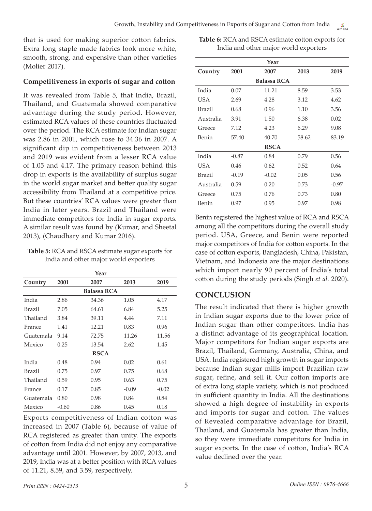that is used for making superior cotton fabrics. Extra long staple made fabrics look more white, smooth, strong, and expensive than other varieties (Molier 2017).

#### **Competitiveness in exports of sugar and cotton**

It was revealed from Table 5, that India, Brazil, Thailand, and Guatemala showed comparative advantage during the study period. However, estimated RCA values of these countries fluctuated over the period. The RCA estimate for Indian sugar was 2.86 in 2001, which rose to 34.36 in 2007. A significant dip in competitiveness between 2013 and 2019 was evident from a lesser RCA value of 1.05 and 4.17. The primary reason behind this drop in exports is the availability of surplus sugar in the world sugar market and better quality sugar accessibility from Thailand at a competitive price. But these countries' RCA values were greater than India in later years. Brazil and Thailand were immediate competitors for India in sugar exports. A similar result was found by (Kumar, and Sheetal 2013), (Chaudhary and Kumar 2016).

**Table 5:** RCA and RSCA estimate sugar exports for India and other major world exporters

| Year        |         |                    |         |         |  |
|-------------|---------|--------------------|---------|---------|--|
| Country     | 2001    | 2007               | 2013    | 2019    |  |
|             |         | <b>Balassa RCA</b> |         |         |  |
| India       | 2.86    | 34.36              | 1.05    | 4.17    |  |
| Brazil      | 7.05    | 64.61              | 6.84    | 5.25    |  |
| Thailand    | 3.84    | 39.11              | 4.44    | 7.11    |  |
| France      | 1.41    | 12.21              | 0.83    | 0.96    |  |
| Guatemala   | 9.14    | 72.75              | 11.26   | 11.56   |  |
| Mexico      | 0.25    | 13.54              | 2.62    | 1.45    |  |
| <b>RSCA</b> |         |                    |         |         |  |
| India       | 0.48    | 0.94               | 0.02    | 0.61    |  |
| Brazil      | 0.75    | 0.97               | 0.75    | 0.68    |  |
| Thailand    | 0.59    | 0.95               | 0.63    | 0.75    |  |
| France      | 0.17    | 0.85               | $-0.09$ | $-0.02$ |  |
| Guatemala   | 0.80    | 0.98               | 0.84    | 0.84    |  |
| Mexico      | $-0.60$ | 0.86               | 0.45    | 0.18    |  |

Exports competitiveness of Indian cotton was increased in 2007 (Table 6), because of value of RCA registered as greater than unity. The exports of cotton from India did not enjoy any comparative advantage until 2001. However, by 2007, 2013, and 2019, India was at a better position with RCA values of 11.21, 8.59, and 3.59, respectively.

**Table 6:** RCA and RSCA estimate cotton exports for India and other major world exporters

| Year          |         |                    |       |         |
|---------------|---------|--------------------|-------|---------|
| Country       | 2001    | 2007               | 2013  | 2019    |
|               |         | <b>Balassa RCA</b> |       |         |
| India         | 0.07    | 11.21              | 8.59  | 3.53    |
| USA.          | 2.69    | 4.28               | 3.12  | 4.62    |
| <b>Brazil</b> | 0.68    | 0.96               | 1.10  | 3.56    |
| Australia     | 3.91    | 1.50               | 6.38  | 0.02    |
| Greece        | 7.12    | 4.23               | 6.29  | 9.08    |
| Benin         | 57.40   | 40.70              | 58.62 | 83.19   |
|               |         | <b>RSCA</b>        |       |         |
| India         | $-0.87$ | 0.84               | 0.79  | 0.56    |
| USA.          | 0.46    | 0.62               | 0.52  | 0.64    |
| <b>Brazil</b> | $-0.19$ | $-0.02$            | 0.05  | 0.56    |
| Australia     | 0.59    | 0.20               | 0.73  | $-0.97$ |
| Greece        | 0.75    | 0.76               | 0.73  | 0.80    |
| Benin         | 0.97    | 0.95               | 0.97  | 0.98    |

Benin registered the highest value of RCA and RSCA among all the competitors during the overall study period. USA, Greece, and Benin were reported major competitors of India for cotton exports. In the case of cotton exports, Bangladesh, China, Pakistan, Vietnam, and Indonesia are the major destinations which import nearly 90 percent of India's total cotton during the study periods (Singh *et al.* 2020).

# **CONCLUSION**

The result indicated that there is higher growth in Indian sugar exports due to the lower price of Indian sugar than other competitors. India has a distinct advantage of its geographical location. Major competitors for Indian sugar exports are Brazil, Thailand, Germany, Australia, China, and USA. India registered high growth in sugar imports because Indian sugar mills import Brazilian raw sugar, refine, and sell it. Our cotton imports are of extra long staple variety, which is not produced in sufficient quantity in India. All the destinations showed a high degree of instability in exports and imports for sugar and cotton. The values of Revealed comparative advantage for Brazil, Thailand, and Guatemala has greater than India, so they were immediate competitors for India in sugar exports. In the case of cotton, India's RCA value declined over the year.